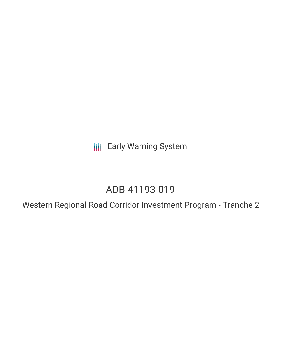**III** Early Warning System

## ADB-41193-019

Western Regional Road Corridor Investment Program - Tranche 2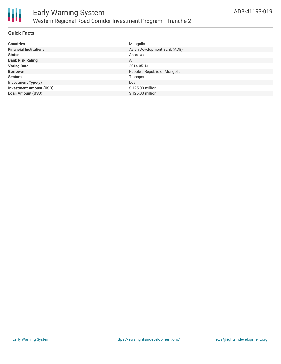

#### **Quick Facts**

| <b>Countries</b>               | Mongolia                      |
|--------------------------------|-------------------------------|
| <b>Financial Institutions</b>  | Asian Development Bank (ADB)  |
| <b>Status</b>                  | Approved                      |
| <b>Bank Risk Rating</b>        | A                             |
| <b>Voting Date</b>             | 2014-05-14                    |
| <b>Borrower</b>                | People's Republic of Mongolia |
| <b>Sectors</b>                 | Transport                     |
| <b>Investment Type(s)</b>      | Loan                          |
| <b>Investment Amount (USD)</b> | \$125.00 million              |
| <b>Loan Amount (USD)</b>       | \$125.00 million              |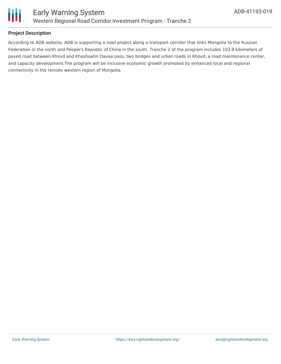

## **Project Description**

According to ADB website, ADB is supporting a road project along a transport corridor that links Mongolia to the Russian Federation in the north and People's Republic of China in the south. Tranche 2 of the program includes 103.9 kilometers of paved road between Khovd and Khashaatin Davaa pass, two bridges and urban roads in Khovd, a road maintenance center, and capacity development.The program will be inclusive economic growth promoted by enhanced local and regional connectivity in the remote western region of Mongolia.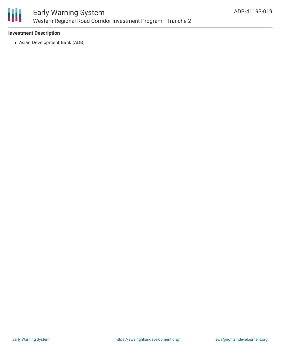

### **Investment Description**

Asian Development Bank (ADB)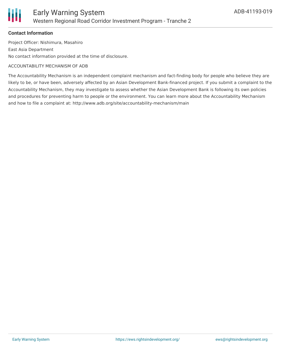

#### **Contact Information**

Project Officer: Nishimura, Masahiro East Asia Department No contact information provided at the time of disclosure.

#### ACCOUNTABILITY MECHANISM OF ADB

The Accountability Mechanism is an independent complaint mechanism and fact-finding body for people who believe they are likely to be, or have been, adversely affected by an Asian Development Bank-financed project. If you submit a complaint to the Accountability Mechanism, they may investigate to assess whether the Asian Development Bank is following its own policies and procedures for preventing harm to people or the environment. You can learn more about the Accountability Mechanism and how to file a complaint at: http://www.adb.org/site/accountability-mechanism/main